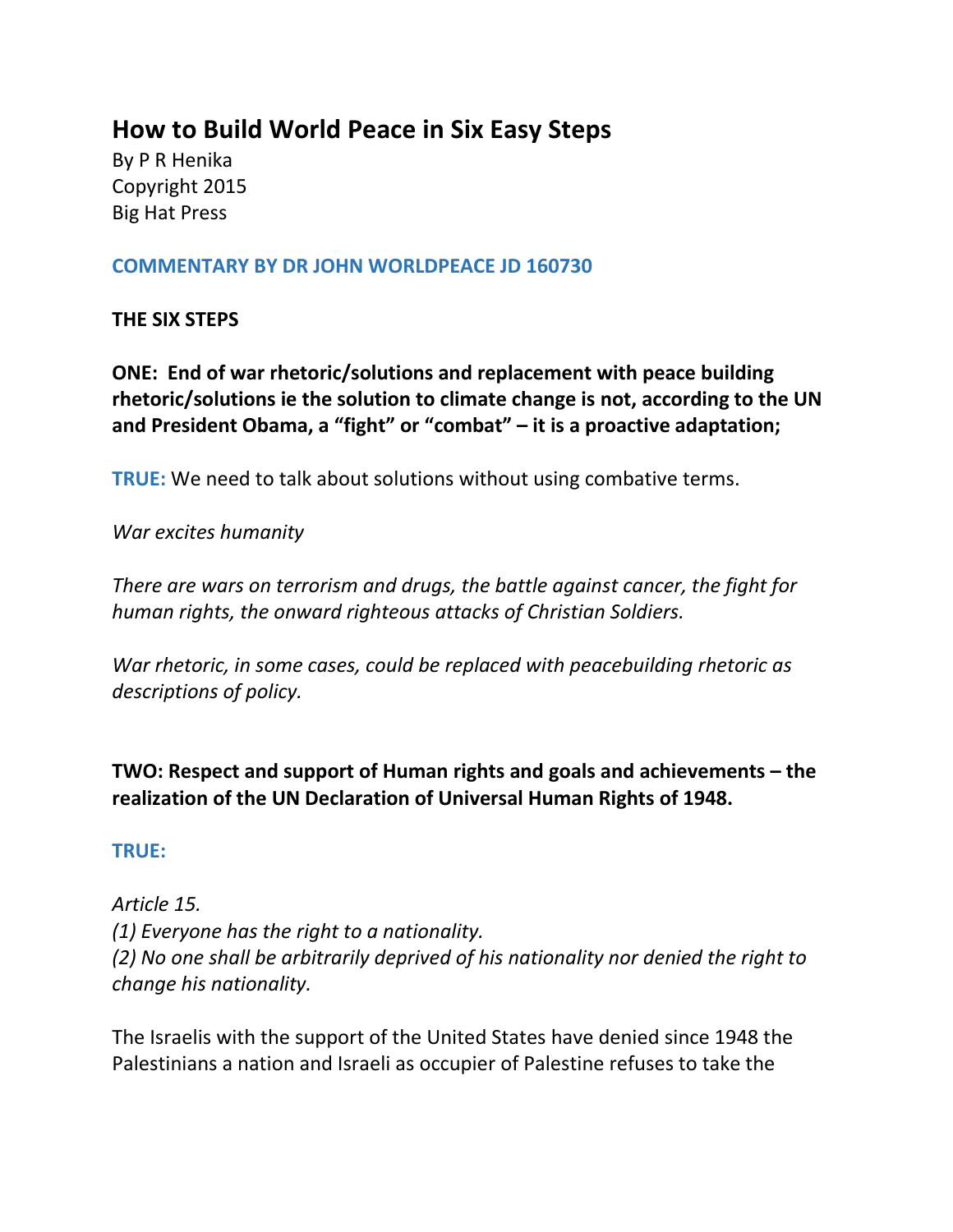# **How to Build World Peace in Six Easy Steps**

By P R Henika Copyright 2015 Big Hat Press

#### **COMMENTARY BY DR JOHN WORLDPEACE JD 160730**

#### **THE SIX STEPS**

**ONE: End of war rhetoric/solutions and replacement with peace building rhetoric/solutions ie the solution to climate change is not, according to the UN and President Obama, a "fight" or "combat" – it is a proactive adaptation;** 

**TRUE:** We need to talk about solutions without using combative terms.

*War excites humanity*

*There are wars on terrorism and drugs, the battle against cancer, the fight for human rights, the onward righteous attacks of Christian Soldiers.*

*War rhetoric, in some cases, could be replaced with peacebuilding rhetoric as descriptions of policy.*

**TWO: Respect and support of Human rights and goals and achievements – the realization of the UN Declaration of Universal Human Rights of 1948.**

#### **TRUE:**

*Article 15. (1) Everyone has the right to a nationality. (2) No one shall be arbitrarily deprived of his nationality nor denied the right to change his nationality.*

The Israelis with the support of the United States have denied since 1948 the Palestinians a nation and Israeli as occupier of Palestine refuses to take the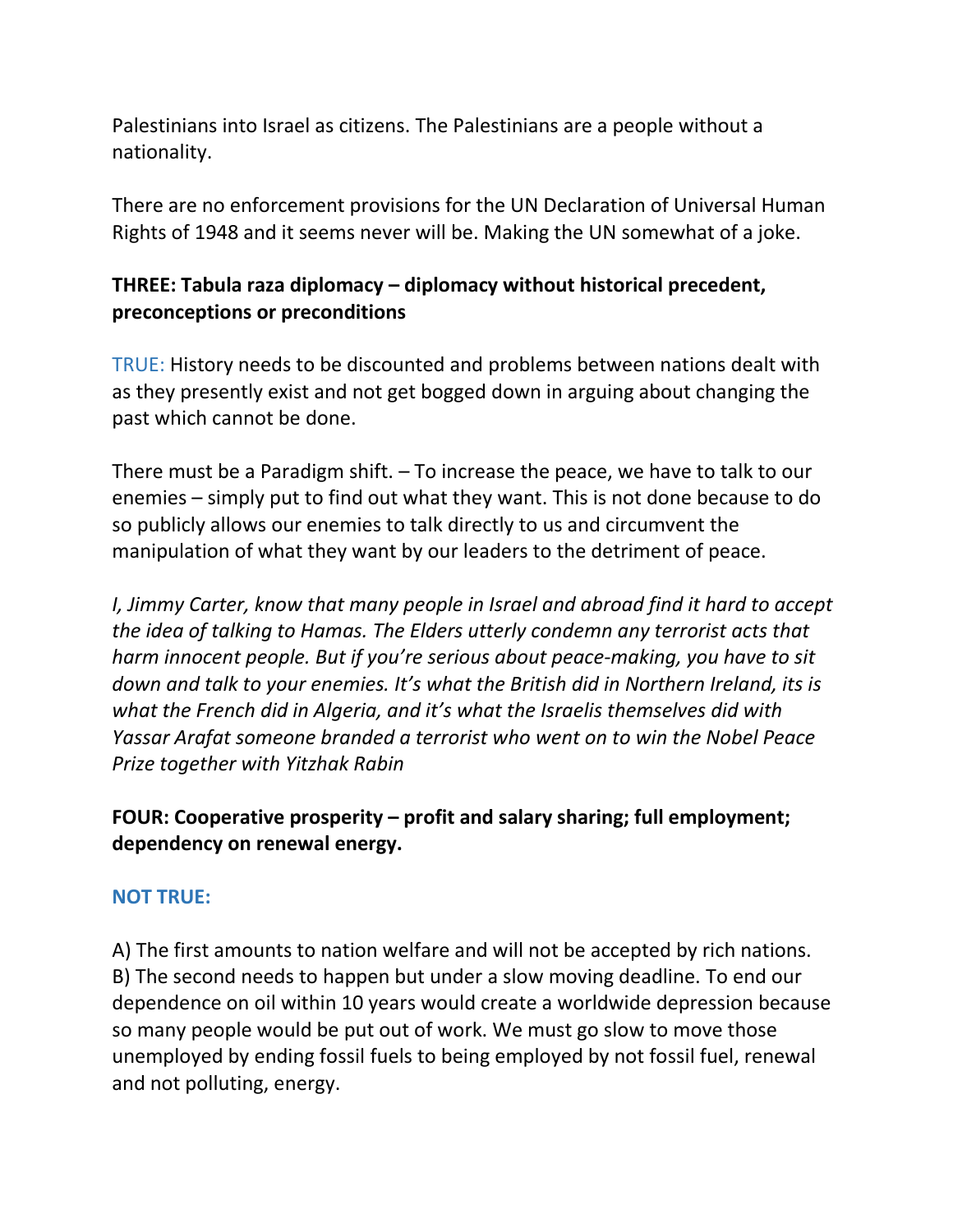Palestinians into Israel as citizens. The Palestinians are a people without a nationality.

There are no enforcement provisions for the UN Declaration of Universal Human Rights of 1948 and it seems never will be. Making the UN somewhat of a joke.

## **THREE: Tabula raza diplomacy – diplomacy without historical precedent, preconceptions or preconditions**

TRUE: History needs to be discounted and problems between nations dealt with as they presently exist and not get bogged down in arguing about changing the past which cannot be done.

There must be a Paradigm shift. – To increase the peace, we have to talk to our enemies – simply put to find out what they want. This is not done because to do so publicly allows our enemies to talk directly to us and circumvent the manipulation of what they want by our leaders to the detriment of peace.

*I, Jimmy Carter, know that many people in Israel and abroad find it hard to accept the idea of talking to Hamas. The Elders utterly condemn any terrorist acts that harm innocent people. But if you're serious about peace-making, you have to sit down and talk to your enemies. It's what the British did in Northern Ireland, its is what the French did in Algeria, and it's what the Israelis themselves did with Yassar Arafat someone branded a terrorist who went on to win the Nobel Peace Prize together with Yitzhak Rabin*

# **FOUR: Cooperative prosperity – profit and salary sharing; full employment; dependency on renewal energy.**

#### **NOT TRUE:**

A) The first amounts to nation welfare and will not be accepted by rich nations. B) The second needs to happen but under a slow moving deadline. To end our dependence on oil within 10 years would create a worldwide depression because so many people would be put out of work. We must go slow to move those unemployed by ending fossil fuels to being employed by not fossil fuel, renewal and not polluting, energy.